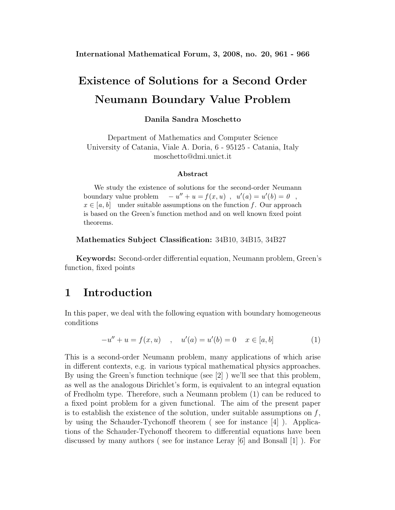# **Existence of Solutions for a Second Order Neumann Boundary Value Problem**

#### **Danila Sandra Moschetto**

Department of Mathematics and Computer Science University of Catania, Viale A. Doria, 6 - 95125 - Catania, Italy moschetto@dmi.unict.it

#### **Abstract**

We study the existence of solutions for the second-order Neumann boundary value problem  $-u'' + u = f(x, u)$ ,  $u'(a) = u'(b) = 0$ ,  $x \in [a, b]$  under suitable assumptions on the function *f*. Our approach is based on the Green's function method and on well known fixed point theorems.

#### **Mathematics Subject Classification:** 34B10, 34B15, 34B27

**Keywords:** Second-order differential equation, Neumann problem, Green's function, fixed points

# **1 Introduction**

In this paper, we deal with the following equation with boundary homogeneous conditions

$$
-u'' + u = f(x, u) \quad , \quad u'(a) = u'(b) = 0 \quad x \in [a, b]
$$
 (1)

This is a second-order Neumann problem, many applications of which arise in different contexts, e.g. in various typical mathematical physics approaches. By using the Green's function technique (see [2] ) we'll see that this problem, as well as the analogous Dirichlet's form, is equivalent to an integral equation of Fredholm type. Therefore, such a Neumann problem (1) can be reduced to a fixed point problem for a given functional. The aim of the present paper is to establish the existence of the solution, under suitable assumptions on  $f$ , by using the Schauder-Tychonoff theorem ( see for instance [4] ). Applications of the Schauder-Tychonoff theorem to differential equations have been discussed by many authors ( see for instance Leray [6] and Bonsall [1] ). For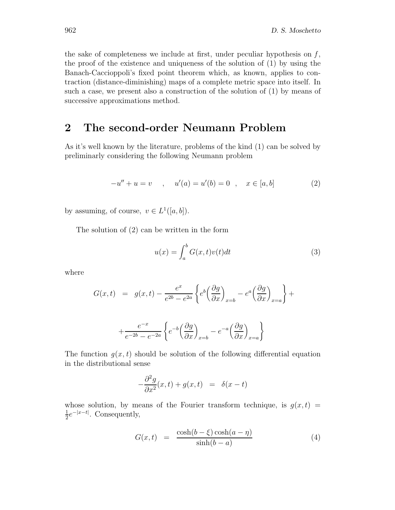the sake of completeness we include at first, under peculiar hypothesis on  $f$ , the proof of the existence and uniqueness of the solution of (1) by using the Banach-Caccioppoli's fixed point theorem which, as known, applies to contraction (distance-diminishing) maps of a complete metric space into itself. In such a case, we present also a construction of the solution of (1) by means of successive approximations method.

### **2 The second-order Neumann Problem**

As it's well known by the literature, problems of the kind (1) can be solved by preliminarly considering the following Neumann problem

$$
-u'' + u = v \t , \t u'(a) = u'(b) = 0 , \t x \in [a, b]
$$
 (2)

by assuming, of course,  $v \in L^1([a, b])$ .

The solution of (2) can be written in the form

$$
u(x) = \int_{a}^{b} G(x, t)v(t)dt
$$
 (3)

where

$$
G(x,t) = g(x,t) - \frac{e^x}{e^{2b} - e^{2a}} \left\{ e^b \left( \frac{\partial g}{\partial x} \right)_{x=b} - e^a \left( \frac{\partial g}{\partial x} \right)_{x=a} \right\} +
$$
  
+ 
$$
\frac{e^{-x}}{e^{-2b} - e^{-2a}} \left\{ e^{-b} \left( \frac{\partial g}{\partial x} \right)_{x=b} - e^{-a} \left( \frac{\partial g}{\partial x} \right)_{x=a} \right\}
$$

The function  $q(x, t)$  should be solution of the following differential equation in the distributional sense

$$
-\frac{\partial^2 g}{\partial x^2}(x,t) + g(x,t) = \delta(x-t)
$$

whose solution, by means of the Fourier transform technique, is  $g(x, t) =$  $\frac{1}{2}e^{-|x-t|}$ . Consequently,

$$
G(x,t) = \frac{\cosh(b-\xi)\cosh(a-\eta)}{\sinh(b-a)}
$$
(4)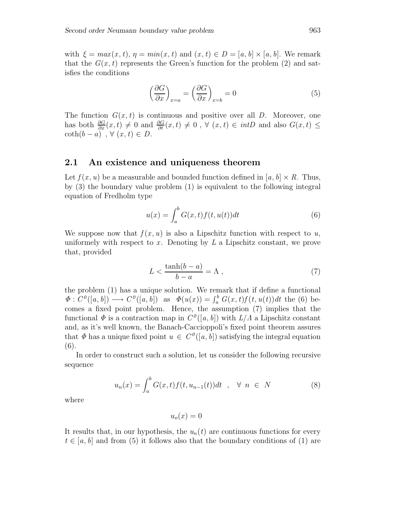with  $\xi = max(x, t), \eta = min(x, t)$  and  $(x, t) \in D = [a, b] \times [a, b]$ . We remark that the  $G(x, t)$  represents the Green's function for the problem (2) and satisfies the conditions

$$
\left(\frac{\partial G}{\partial x}\right)_{x=a} = \left(\frac{\partial G}{\partial x}\right)_{x=b} = 0\tag{5}
$$

The function  $G(x, t)$  is continuous and positive over all D. Moreover, one has both  $\frac{\partial G}{\partial x}(x,t) \neq 0$  and  $\frac{\partial G}{\partial t}(x,t) \neq 0$ ,  $\forall$   $(x,t) \in intD$  and also  $G(x,t) \leq$  $\coth(b - a)$ ,  $\forall$   $(x, t) \in D$ .

### **2.1 An existence and uniqueness theorem**

Let  $f(x, u)$  be a measurable and bounded function defined in [a, b]  $\times R$ . Thus, by (3) the boundary value problem (1) is equivalent to the following integral equation of Fredholm type

$$
u(x) = \int_{a}^{b} G(x, t) f(t, u(t)) dt
$$
\n(6)

We suppose now that  $f(x, u)$  is also a Lipschitz function with respect to u, uniformely with respect to x. Denoting by  $L$  a Lipschitz constant, we prove that, provided

$$
L < \frac{\tanh(b-a)}{b-a} = \Lambda \tag{7}
$$

the problem (1) has a unique solution. We remark that if define a functional  $\Phi: C^{\theta}([a, b]) \longrightarrow C^{\theta}([a, b])$  as  $\Phi(u(x)) = \int_a^b G(x, t) f(t, u(t)) dt$  the (6) becomes a fixed point problem. Hence, the assumption (7) implies that the functional  $\Phi$  is a contraction map in  $C^{\theta}([a, b])$  with  $L/\Lambda$  a Lipschitz constant and, as it's well known, the Banach-Caccioppoli's fixed point theorem assures that  $\Phi$  has a unique fixed point  $u \in C^0([a, b])$  satisfying the integral equation (6).

In order to construct such a solution, let us consider the following recursive sequence

$$
u_n(x) = \int_a^b G(x, t) f(t, u_{n-1}(t)) dt \quad , \quad \forall \ n \in N \tag{8}
$$

where

$$
u_o(x) = 0
$$

It results that, in our hypothesis, the  $u_n(t)$  are continuous functions for every  $t \in [a, b]$  and from (5) it follows also that the boundary conditions of (1) are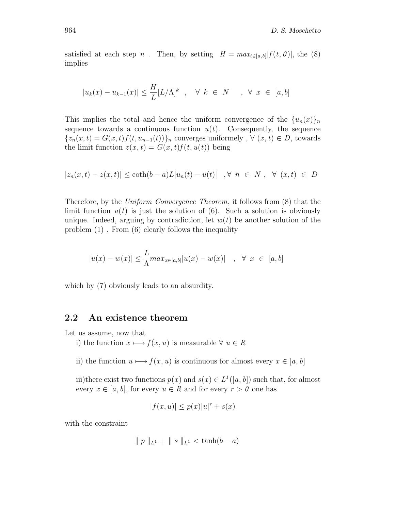satisfied at each step n. Then, by setting  $H = max_{t \in [a,b]} |f(t, 0)|$ , the (8) implies

$$
|u_k(x) - u_{k-1}(x)| \le \frac{H}{L} [L/\Lambda]^k \quad , \quad \forall \ k \in \ N \quad , \ \forall \ x \in [a, b]
$$

This implies the total and hence the uniform convergence of the  ${u_n(x)}_n$ sequence towards a continuous function  $u(t)$ . Consequently, the sequence  ${z_n(x,t) = G(x,t)f(t, u_{n-1}(t))\}_n$  converges uniformely,  $\forall (x, t) \in D$ , towards the limit function  $z(x, t) = G(x, t)f(t, u(t))$  being

$$
|z_n(x,t) - z(x,t)| \le \coth(b-a)L|u_n(t) - u(t)| \quad , \forall \quad n \in N \; , \quad \forall \ (x,t) \in D
$$

Therefore, by the Uniform Convergence Theorem, it follows from (8) that the limit function  $u(t)$  is just the solution of (6). Such a solution is obviously unique. Indeed, arguing by contradiction, let  $w(t)$  be another solution of the problem (1) . From (6) clearly follows the inequality

$$
|u(x) - w(x)| \le \frac{L}{\Lambda} \max_{x \in [a,b]} |u(x) - w(x)| \quad , \quad \forall \ x \in [a,b]
$$

which by (7) obviously leads to an absurdity.

### **2.2 An existence theorem**

Let us assume, now that

- i) the function  $x \mapsto f(x, u)$  is measurable  $\forall u \in R$
- ii) the function  $u \mapsto f(x, u)$  is continuous for almost every  $x \in [a, b]$

iii)there exist two functions  $p(x)$  and  $s(x) \in L^1([a, b])$  such that, for almost every  $x \in [a, b]$ , for every  $u \in R$  and for every  $r > 0$  one has

$$
|f(x, u)| \le p(x)|u|^r + s(x)
$$

with the constraint

$$
\|p\|_{L^1} + \|s\|_{L^1} < \tanh(b-a)
$$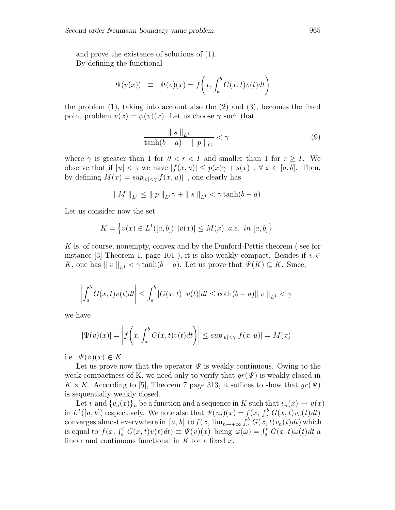and prove the existence of solutions of (1). By defining the functional

$$
\Psi(v(x)) \equiv \Psi(v)(x) = f\left(x, \int_a^b G(x, t)v(t)dt\right)
$$

the problem  $(1)$ , taking into account also the  $(2)$  and  $(3)$ , becomes the fixed point problem  $v(x) = \psi(v)(x)$ . Let us choose  $\gamma$  such that

$$
\frac{\parallel s \parallel_{L^1}}{\tanh(b-a) - \parallel p \parallel_{L^1}} < \gamma
$$
\n<sup>(9)</sup>

where  $\gamma$  is greater than 1 for  $0 < r < 1$  and smaller than 1 for  $r \geq 1$ . We observe that if  $|u| < \gamma$  we have  $|f(x, u)| \leq p(x)\gamma + s(x)$ ,  $\forall x \in [a, b]$ . Then, by defining  $M(x) = \sup_{|u| \leq \gamma} |f(x, u)|$ , one clearly has

$$
\| M \|_{L^1} \le \| p \|_{L^1} \gamma + \| s \|_{L^1} < \gamma \tanh(b - a)
$$

Let us consider now the set

$$
K = \left\{ v(x) \in L^{1}([a, b]) : |v(x)| \le M(x) \text{ a.e. in } [a, b] \right\}
$$

K is, of course, nonempty, convex and by the Dunford-Pettis theorem ( see for instance [3] Theorem 1, page 101), it is also weakly compact. Besides if  $v \in$ K, one has  $\|v\|_{L^1} < \gamma \tanh(b-a)$ . Let us prove that  $\Psi(K) \subseteq K$ . Since,

$$
\left| \int_{a}^{b} G(x,t)v(t)dt \right| \leq \int_{a}^{b} |G(x,t)||v(t)|dt \leq \coth(b-a)||v||_{L^{1}} < \gamma
$$

we have

$$
|\Psi(v)(x)| = \left| f\left(x, \int_a^b G(x,t)v(t)dt\right) \right| \le \sup_{|u| < \gamma} |f(x,u)| = M(x)
$$

i.e.  $\Psi(v)(x) \in K$ .

Let us prove now that the operator  $\Psi$  is weakly continuous. Owing to the weak compactness of K, we need only to verify that  $gr(\Psi)$  is weakly closed in  $K \times K$ . According to [5], Theorem 7 page 313, it suffices to show that  $gr(\Psi)$ is sequentially weakly closed.

Let v and  $\{v_n(x)\}_n$  be a function and a sequence in K such that  $v_n(x) \to v(x)$ in  $L^1([a, b])$  respectively. We note also that  $\Psi(v_n)(x) = f(x, \int_a^b G(x, t)v_n(t)dt)$ converges almost everywhere in [a, b] to  $f(x, \lim_{n\to+\infty} \int_a^b G(x, t)v_n(t)dt)$  which is equal to  $f(x, \int_a^b G(x, t)v(t)dt) \equiv \Psi(v)(x)$  being  $\varphi(\omega) = \int_a^b G(x, t)\omega(t)dt$  a linear and continuous functional in  $K$  for a fixed  $x$ .